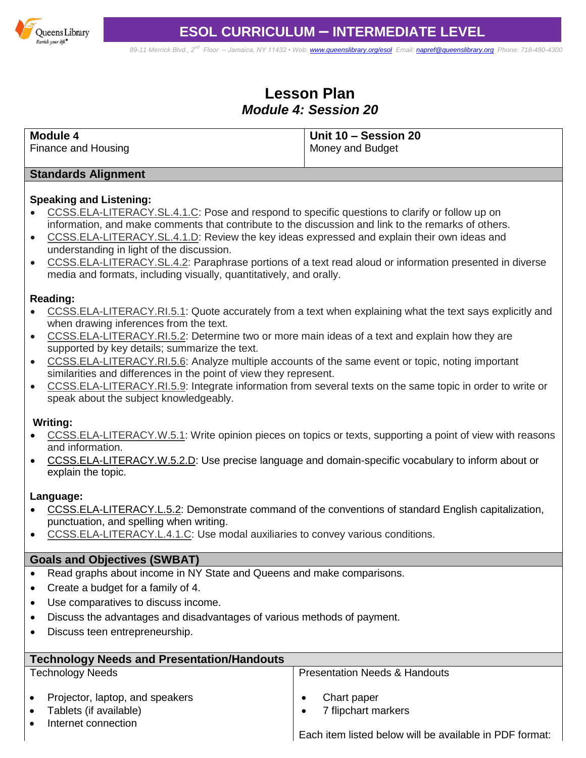

*89-11 Merrick Blvd., 2nd Floor – Jamaica, NY 11432 • Web[: www.queenslibrary.org/esol](http://www.queenslibrary.org/esol) Email: [napref@queenslibrary.org](mailto:napref@queenslibrary.org) Phone: 718-480-4300*

# **Lesson Plan** *Module 4: Session 20*

| $\overline{1}$ Unit 10 – Session 20 |                  |
|-------------------------------------|------------------|
|                                     |                  |
|                                     | Money and Budget |

#### **Standards Alignment**

### **Speaking and Listening:**

- [CCSS.ELA-LITERACY.SL.4.1.C:](http://www.corestandards.org/ELA-Literacy/SL/4/1/c/) Pose and respond to specific questions to clarify or follow up on information, and make comments that contribute to the discussion and link to the remarks of others.
- [CCSS.ELA-LITERACY.SL.4.1.D:](http://www.corestandards.org/ELA-Literacy/SL/4/1/d/) Review the key ideas expressed and explain their own ideas and understanding in light of the discussion.
- [CCSS.ELA-LITERACY.SL.4.2:](http://www.corestandards.org/ELA-Literacy/SL/4/2/) Paraphrase portions of a text read aloud or information presented in diverse media and formats, including visually, quantitatively, and orally.

### **Reading:**

- [CCSS.ELA-LITERACY.RI.5.1:](http://www.corestandards.org/ELA-Literacy/RI/5/1/) Quote accurately from a text when explaining what the text says explicitly and when drawing inferences from the text.
- [CCSS.ELA-LITERACY.RI.5.2:](http://www.corestandards.org/ELA-Literacy/RI/5/2/) Determine two or more main ideas of a text and explain how they are supported by key details; summarize the text.
- [CCSS.ELA-LITERACY.RI.5.6:](http://www.corestandards.org/ELA-Literacy/RI/5/6/) Analyze multiple accounts of the same event or topic, noting important similarities and differences in the point of view they represent.
- [CCSS.ELA-LITERACY.RI.5.9:](http://www.corestandards.org/ELA-Literacy/RI/5/9/) Integrate information from several texts on the same topic in order to write or speak about the subject knowledgeably.

#### **Writing:**

- [CCSS.ELA-LITERACY.W.5.1:](http://www.corestandards.org/ELA-Literacy/W/5/1/) Write opinion pieces on topics or texts, supporting a point of view with reasons and information.
- [CCSS.ELA-LITERACY.W.5.2.D:](http://www.corestandards.org/ELA-Literacy/W/5/2/d/) Use precise language and domain-specific vocabulary to inform about or explain the topic.

### **Language:**

- [CCSS.ELA-LITERACY.L.5.2:](http://www.corestandards.org/ELA-Literacy/L/5/2/) Demonstrate command of the conventions of standard English capitalization, punctuation, and spelling when writing.
- [CCSS.ELA-LITERACY.L.4.1.C:](http://www.corestandards.org/ELA-Literacy/L/4/1/c/) Use modal auxiliaries to convey various conditions.

### **Goals and Objectives (SWBAT)**

- Read graphs about income in NY State and Queens and make comparisons.
- Create a budget for a family of 4.
- Use comparatives to discuss income.
- Discuss the advantages and disadvantages of various methods of payment.
- Discuss teen entrepreneurship.

| <b>Technology Needs and Presentation/Handouts</b>                                                                       |                                                                                                            |  |
|-------------------------------------------------------------------------------------------------------------------------|------------------------------------------------------------------------------------------------------------|--|
| <b>Technology Needs</b>                                                                                                 | <b>Presentation Needs &amp; Handouts</b>                                                                   |  |
| Projector, laptop, and speakers<br>$\bullet$<br>Tablets (if available)<br>$\bullet$<br>Internet connection<br>$\bullet$ | Chart paper<br>7 flipchart markers<br>$\bullet$<br>Each item listed below will be available in PDF format: |  |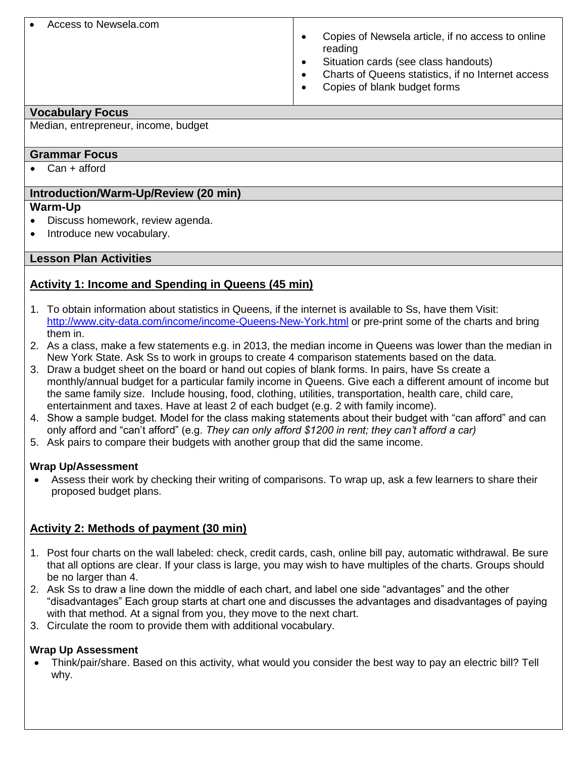#### Access to Newsela.com

- Copies of Newsela article, if no access to online reading
- Situation cards (see class handouts)
- Charts of Queens statistics, if no Internet access
- Copies of blank budget forms

#### **Vocabulary Focus**

Median, entrepreneur, income, budget

### **Grammar Focus**

• Can + afford

### **Introduction/Warm-Up/Review (20 min)**

### **Warm-Up**

- Discuss homework, review agenda.
- Introduce new vocabulary.

### **Lesson Plan Activities**

### **Activity 1: Income and Spending in Queens (45 min)**

- 1. To obtain information about statistics in Queens, if the internet is available to Ss, have them Visit: <http://www.city-data.com/income/income-Queens-New-York.html> or pre-print some of the charts and bring them in.
- 2. As a class, make a few statements e.g. in 2013, the median income in Queens was lower than the median in New York State. Ask Ss to work in groups to create 4 comparison statements based on the data.
- 3. Draw a budget sheet on the board or hand out copies of blank forms. In pairs, have Ss create a monthly/annual budget for a particular family income in Queens. Give each a different amount of income but the same family size. Include housing, food, clothing, utilities, transportation, health care, child care, entertainment and taxes. Have at least 2 of each budget (e.g. 2 with family income).
- 4. Show a sample budget. Model for the class making statements about their budget with "can afford" and can only afford and "can't afford" (e.g. *They can only afford \$1200 in rent; they can't afford a car)*
- 5. Ask pairs to compare their budgets with another group that did the same income.

### **Wrap Up/Assessment**

 Assess their work by checking their writing of comparisons. To wrap up, ask a few learners to share their proposed budget plans.

### **Activity 2: Methods of payment (30 min)**

- 1. Post four charts on the wall labeled: check, credit cards, cash, online bill pay, automatic withdrawal. Be sure that all options are clear. If your class is large, you may wish to have multiples of the charts. Groups should be no larger than 4.
- 2. Ask Ss to draw a line down the middle of each chart, and label one side "advantages" and the other "disadvantages" Each group starts at chart one and discusses the advantages and disadvantages of paying with that method. At a signal from you, they move to the next chart.
- 3. Circulate the room to provide them with additional vocabulary.

### **Wrap Up Assessment**

 Think/pair/share. Based on this activity, what would you consider the best way to pay an electric bill? Tell why.